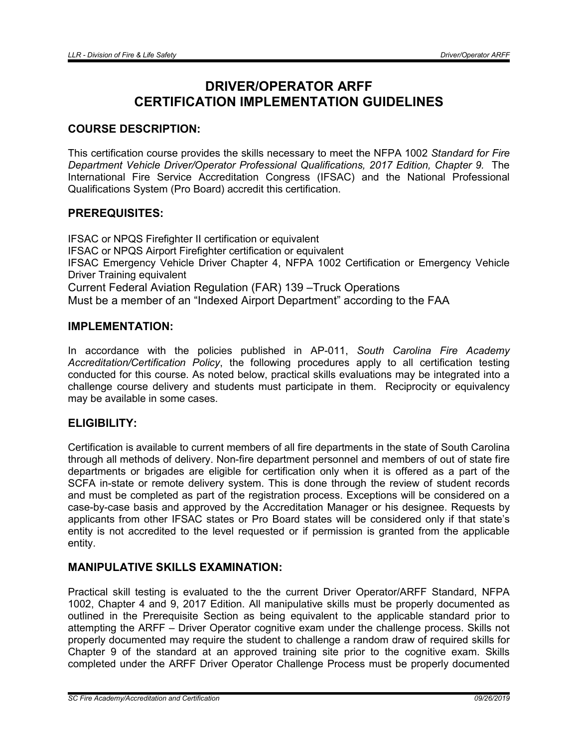# DRIVER/OPERATOR ARFF CERTIFICATION IMPLEMENTATION GUIDELINES

# COURSE DESCRIPTION:

This certification course provides the skills necessary to meet the NFPA 1002 *Standard for Fire Department Vehicle Driver/Operator Professional Qualifications, 2017 Edition, Chapter 9.* The International Fire Service Accreditation Congress (IFSAC) and the National Professional Qualifications System (Pro Board) accredit this certification.

## PREREQUISITES:

IFSAC or NPQS Firefighter II certification or equivalent IFSAC or NPQS Airport Firefighter certification or equivalent IFSAC Emergency Vehicle Driver Chapter 4, NFPA 1002 Certification or Emergency Vehicle Driver Training equivalent Current Federal Aviation Regulation (FAR) 139 –Truck Operations Must be a member of an "Indexed Airport Department" according to the FAA

## IMPLEMENTATION:

In accordance with the policies published in AP-011, *South Carolina Fire Academy Accreditation/Certification Policy*, the following procedures apply to all certification testing conducted for this course. As noted below, practical skills evaluations may be integrated into a challenge course delivery and students must participate in them. Reciprocity or equivalency may be available in some cases.

## ELIGIBILITY:

Certification is available to current members of all fire departments in the state of South Carolina through all methods of delivery. Non-fire department personnel and members of out of state fire departments or brigades are eligible for certification only when it is offered as a part of the SCFA in-state or remote delivery system. This is done through the review of student records and must be completed as part of the registration process. Exceptions will be considered on a case-by-case basis and approved by the Accreditation Manager or his designee. Requests by applicants from other IFSAC states or Pro Board states will be considered only if that state's entity is not accredited to the level requested or if permission is granted from the applicable entity.

#### MANIPULATIVE SKILLS EXAMINATION:

Practical skill testing is evaluated to the the current Driver Operator/ARFF Standard, NFPA 1002, Chapter 4 and 9, 2017 Edition. All manipulative skills must be properly documented as outlined in the Prerequisite Section as being equivalent to the applicable standard prior to attempting the ARFF – Driver Operator cognitive exam under the challenge process. Skills not properly documented may require the student to challenge a random draw of required skills for Chapter 9 of the standard at an approved training site prior to the cognitive exam. Skills completed under the ARFF Driver Operator Challenge Process must be properly documented

*SC Fire Academy/Accreditation and Certification 09/26/2019*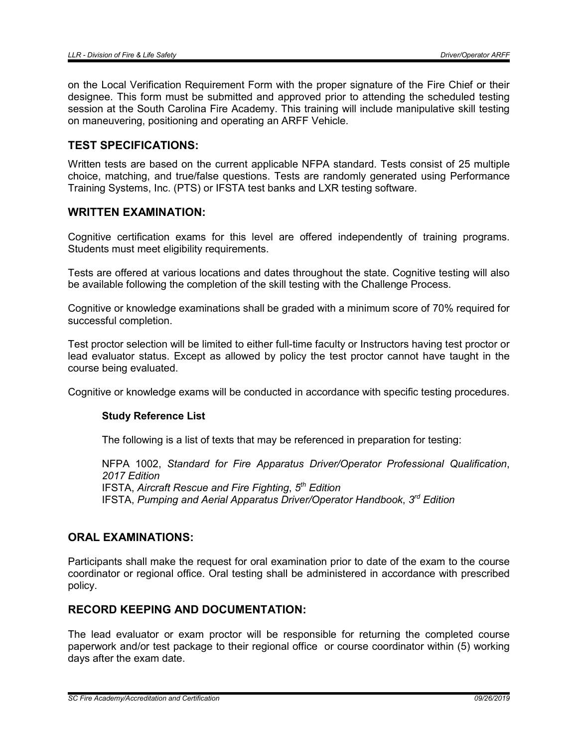on the Local Verification Requirement Form with the proper signature of the Fire Chief or their designee. This form must be submitted and approved prior to attending the scheduled testing session at the South Carolina Fire Academy. This training will include manipulative skill testing on maneuvering, positioning and operating an ARFF Vehicle.

## TEST SPECIFICATIONS:

Written tests are based on the current applicable NFPA standard. Tests consist of 25 multiple choice, matching, and true/false questions. Tests are randomly generated using Performance Training Systems, Inc. (PTS) or IFSTA test banks and LXR testing software.

## WRITTEN EXAMINATION:

Cognitive certification exams for this level are offered independently of training programs. Students must meet eligibility requirements.

Tests are offered at various locations and dates throughout the state. Cognitive testing will also be available following the completion of the skill testing with the Challenge Process.

Cognitive or knowledge examinations shall be graded with a minimum score of 70% required for successful completion.

Test proctor selection will be limited to either full-time faculty or Instructors having test proctor or lead evaluator status. Except as allowed by policy the test proctor cannot have taught in the course being evaluated.

Cognitive or knowledge exams will be conducted in accordance with specific testing procedures.

#### Study Reference List

The following is a list of texts that may be referenced in preparation for testing:

NFPA 1002, *Standard for Fire Apparatus Driver/Operator Professional Qualification*, *2017 Edition* IFSTA, *Aircraft Rescue and Fire Fighting*, *5th Edition* IFSTA, *Pumping and Aerial Apparatus Driver/Operator Handbook*, *3rd Edition*

## ORAL EXAMINATIONS:

Participants shall make the request for oral examination prior to date of the exam to the course coordinator or regional office. Oral testing shall be administered in accordance with prescribed policy.

#### RECORD KEEPING AND DOCUMENTATION:

The lead evaluator or exam proctor will be responsible for returning the completed course paperwork and/or test package to their regional office or course coordinator within (5) working days after the exam date.

*SC Fire Academy/Accreditation and Certification 09/26/2019*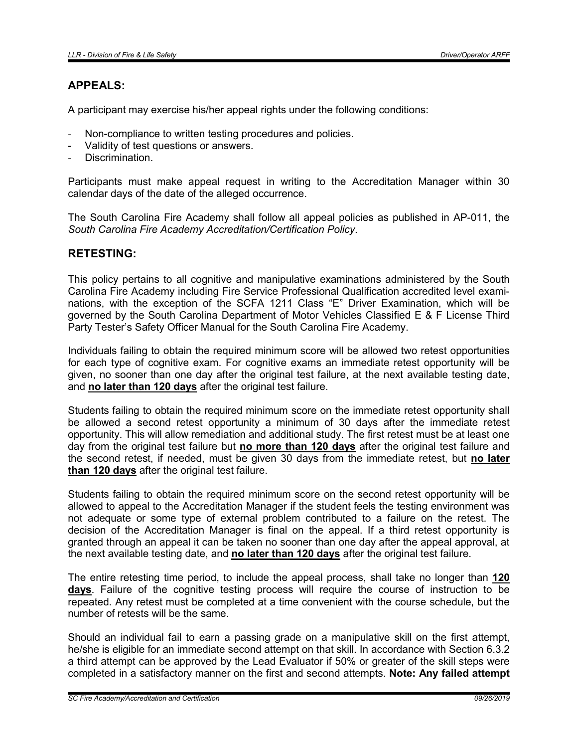# APPEALS:

A participant may exercise his/her appeal rights under the following conditions:

- Non-compliance to written testing procedures and policies.
- Validity of test questions or answers.
- Discrimination.

Participants must make appeal request in writing to the Accreditation Manager within 30 calendar days of the date of the alleged occurrence.

The South Carolina Fire Academy shall follow all appeal policies as published in AP-011, the *South Carolina Fire Academy Accreditation/Certification Policy*.

#### RETESTING:

This policy pertains to all cognitive and manipulative examinations administered by the South Carolina Fire Academy including Fire Service Professional Qualification accredited level examinations, with the exception of the SCFA 1211 Class "E" Driver Examination, which will be governed by the South Carolina Department of Motor Vehicles Classified E & F License Third Party Tester's Safety Officer Manual for the South Carolina Fire Academy.

Individuals failing to obtain the required minimum score will be allowed two retest opportunities for each type of cognitive exam. For cognitive exams an immediate retest opportunity will be given, no sooner than one day after the original test failure, at the next available testing date, and no later than 120 days after the original test failure.

Students failing to obtain the required minimum score on the immediate retest opportunity shall be allowed a second retest opportunity a minimum of 30 days after the immediate retest opportunity. This will allow remediation and additional study. The first retest must be at least one day from the original test failure but no more than 120 days after the original test failure and the second retest, if needed, must be given 30 days from the immediate retest, but no later than 120 days after the original test failure.

Students failing to obtain the required minimum score on the second retest opportunity will be allowed to appeal to the Accreditation Manager if the student feels the testing environment was not adequate or some type of external problem contributed to a failure on the retest. The decision of the Accreditation Manager is final on the appeal. If a third retest opportunity is granted through an appeal it can be taken no sooner than one day after the appeal approval, at the next available testing date, and **no later than 120 days** after the original test failure.

The entire retesting time period, to include the appeal process, shall take no longer than 120 days. Failure of the cognitive testing process will require the course of instruction to be repeated. Any retest must be completed at a time convenient with the course schedule, but the number of retests will be the same.

Should an individual fail to earn a passing grade on a manipulative skill on the first attempt, he/she is eligible for an immediate second attempt on that skill. In accordance with Section 6.3.2 a third attempt can be approved by the Lead Evaluator if 50% or greater of the skill steps were completed in a satisfactory manner on the first and second attempts. Note: Any failed attempt